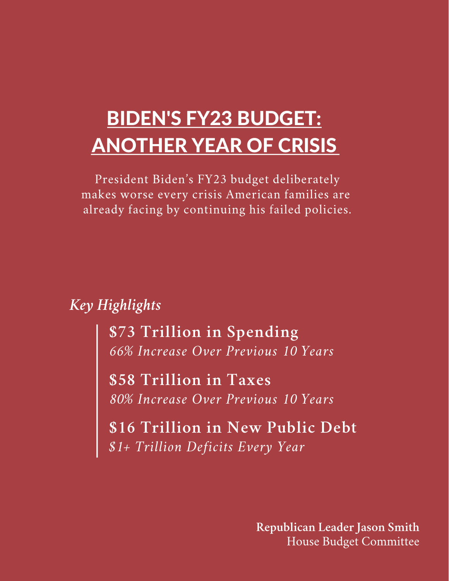# BIDEN'S FY23 BUDGET: ANOTHER YEAR OF CRISIS

President Biden's FY23 budget deliberately makes worse every crisis American families are already facing by continuing his failed policies.

*Key Highlights*

**\$73 Trillion in Spending** *66% Increase Over Previous 10 Years*

**\$58 Trillion in Taxes** *80% Increase Over Previous 10 Years*

**\$16 Trillion in New Public Debt** *\$1+ Trillion Deficits Every Year*

> **Republican Leader Jason Smith** House Budget Committee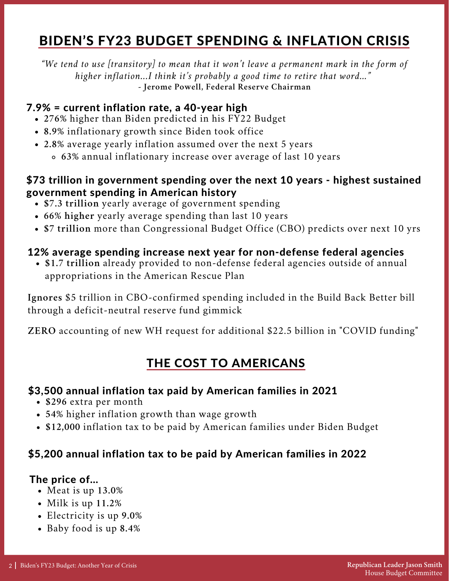# BIDEN'S FY23 BUDGET SPENDING & INFLATION CRISIS

*"We tend to use [transitory] to mean that it won't leave a permanent mark in the form of higher inflation...I think it's probably a good time to retire that word…"* **- Jerome Powell, Federal Reserve Chairman**

#### 7.9% = current inflation rate, a 40-year high

- **276%** higher than Biden predicted in his FY22 Budget
- **8.9%** inflationary growth since Biden took office
- **2.8%** average yearly inflation assumed over the next 5 years
	- **63%** annual inflationary increase over average of last 10 years

#### \$73 trillion in government spending over the next 10 years - highest sustained government spending in American history

- **\$7.3 trillion** yearly average of government spending
- **66% higher** yearly average spending than last 10 years
- **\$7 trillion** more than Congressional Budget Office (CBO) predicts over next 10 yrs

#### 12% average spending increase next year for non-defense federal agencies

**\$1.7 trillion** already provided to non-defense federal agencies outside of annual appropriations in the American Rescue Plan

**Ignores** \$5 trillion in CBO-confirmed spending included in the Build Back Better bill through a deficit-neutral reserve fund gimmick

**ZERO** accounting of new WH request for additional \$22.5 billion in "COVID funding"

### THE COST TO AMERICANS

#### \$3,500 annual inflation tax paid by American families in 2021

- **\$296** extra per month
- **54%** higher inflation growth than wage growth
- **\$12,000** inflation tax to be paid by American families under Biden Budget

#### \$5,200 annual inflation tax to be paid by American families in 2022

#### The price of…

- Meat is up **13.0%**
- Milk is up **11.2%**
- Electricity is up **9.0%**
- Baby food is up **8.4%**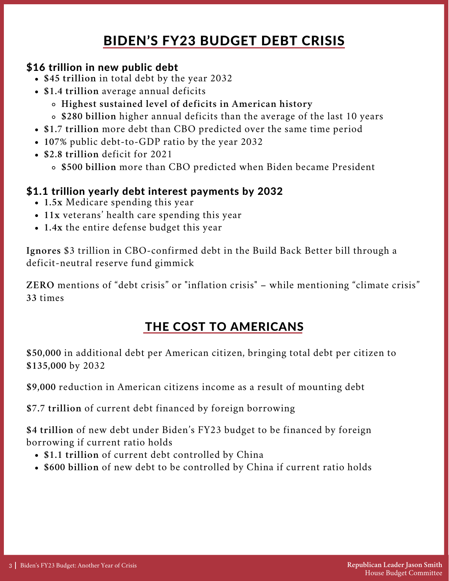# BIDEN'S FY23 BUDGET DEBT CRISIS

#### \$16 trillion in new public debt

- **\$45 trillion** in total debt by the year 2032
- **\$1.4 trillion** average annual deficits
	- **Highest sustained level of deficits in American history**
	- **\$280 billion** higher annual deficits than the average of the last 10 years
- **\$1.7 trillion** more debt than CBO predicted over the same time period
- **107%** public debt-to-GDP ratio by the year 2032
- **\$2.8 trillion** deficit for 2021
	- **\$500 billion** more than CBO predicted when Biden became President

#### \$1.1 trillion yearly debt interest payments by 2032

- **1.5x** Medicare spending this year
- **11x** veterans' health care spending this year
- **1.4x** the entire defense budget this year

**Ignores** \$3 trillion in CBO-confirmed debt in the Build Back Better bill through a deficit-neutral reserve fund gimmick

**ZERO** mentions of "debt crisis" or "inflation crisis" – while mentioning "climate crisis" **33** times

### THE COST TO AMERICANS

**\$50,000** in additional debt per American citizen, bringing total debt per citizen to **\$135,000** by 2032

**\$9,000** reduction in American citizens income as a result of mounting debt

**\$7.7 trillion** of current debt financed by foreign borrowing

**\$4 trillion** of new debt under Biden's FY23 budget to be financed by foreign borrowing if current ratio holds

- **\$1.1 trillion** of current debt controlled by China
- **\$600 billion** of new debt to be controlled by China if current ratio holds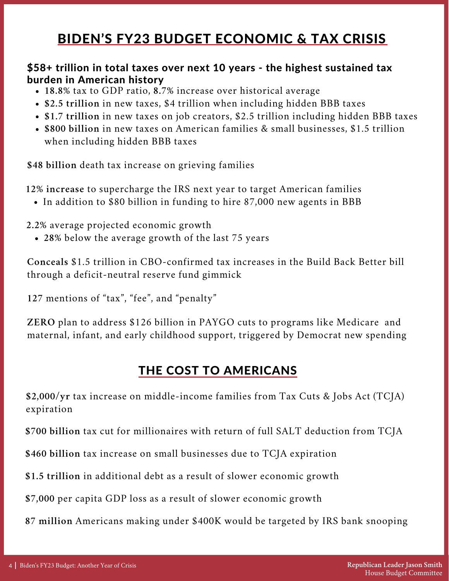# BIDEN'S FY23 BUDGET ECONOMIC & TAX CRISIS

#### \$58+ trillion in total taxes over next 10 years - the highest sustained tax burden in American history

- **18.8%** tax to GDP ratio, **8.7%** increase over historical average
- **\$2.5 trillion** in new taxes, \$4 trillion when including hidden BBB taxes
- **\$1.7 trillion** in new taxes on job creators, \$2.5 trillion including hidden BBB taxes
- **\$800 billion** in new taxes on American families & small businesses, \$1.5 trillion when including hidden BBB taxes

**\$48 billion** death tax increase on grieving families

**12% increase** to supercharge the IRS next year to target American families

In addition to \$80 billion in funding to hire 87,000 new agents in BBB

**2.2%** average projected economic growth

**28%** below the average growth of the last 75 years

**Conceals** \$1.5 trillion in CBO-confirmed tax increases in the Build Back Better bill through a deficit-neutral reserve fund gimmick

**127** mentions of "tax", "fee", and "penalty"

**ZERO** plan to address \$126 billion in PAYGO cuts to programs like Medicare and maternal, infant, and early childhood support, triggered by Democrat new spending

### THE COST TO AMERICANS

**\$2,000/yr** tax increase on middle-income families from Tax Cuts & Jobs Act (TCJA) expiration

**\$700 billion** tax cut for millionaires with return of full SALT deduction from TCJA

**\$460 billion** tax increase on small businesses due to TCJA expiration

**\$1.5 trillion** in additional debt as a result of slower economic growth

**\$7,000** per capita GDP loss as a result of slower economic growth

**87 million** Americans making under \$400K would be targeted by IRS bank snooping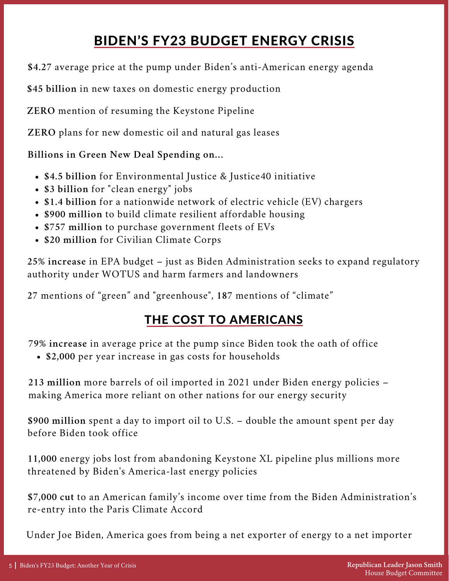# BIDEN'S FY23 BUDGET ENERGY CRISIS

**\$4.27** average price at the pump under Biden's anti-American energy agenda

**\$45 billion** in new taxes on domestic energy production

**ZERO** mention of resuming the Keystone Pipeline

**ZERO** plans for new domestic oil and natural gas leases

**Billions in Green New Deal Spending on…**

- **\$4.5 billion** for Environmental Justice & Justice40 initiative
- **\$3 billion** for "clean energy" jobs
- **\$1.4 billion** for a nationwide network of electric vehicle (EV) chargers
- **\$900 million** to build climate resilient affordable housing
- **\$757 million** to purchase government fleets of EVs
- **\$20 million** for Civilian Climate Corps

**25% increase** in EPA budget – just as Biden Administration seeks to expand regulatory authority under WOTUS and harm farmers and landowners

**27** mentions of "green" and "greenhouse", **187** mentions of "climate"

### THE COST TO AMERICANS

**79% increase** in average price at the pump since Biden took the oath of office

**\$2,000** per year increase in gas costs for households

**213 million** more barrels of oil imported in 2021 under Biden energy policies – making America more reliant on other nations for our energy security

**\$900 million** spent a day to import oil to U.S. – double the amount spent per day before Biden took office

**11,000** energy jobs lost from abandoning Keystone XL pipeline plus millions more threatened by Biden's America-last energy policies

**\$7,000 cut** to an American family's income over time from the Biden Administration's re-entry into the Paris Climate Accord

Under Joe Biden, America goes from being a net exporter of energy to a net importer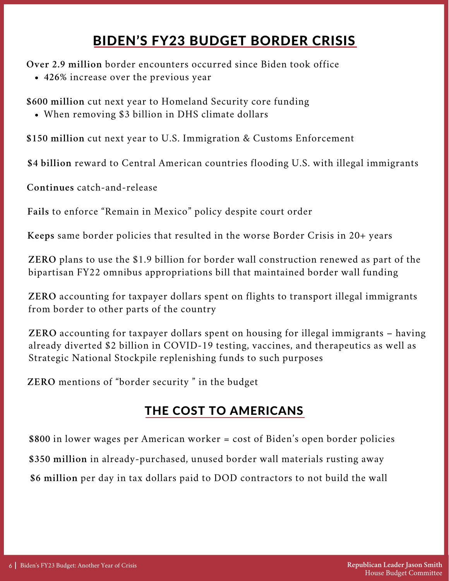# BIDEN'S FY23 BUDGET BORDER CRISIS

**Over 2.9 million** border encounters occurred since Biden took office

**426%** increase over the previous year

**\$600 million** cut next year to Homeland Security core funding

When removing \$3 billion in DHS climate dollars

**\$150 million** cut next year to U.S. Immigration & Customs Enforcement

**\$4 billion** reward to Central American countries flooding U.S. with illegal immigrants

**Continues** catch-and-release

**Fails** to enforce "Remain in Mexico" policy despite court order

**Keeps** same border policies that resulted in the worse Border Crisis in 20+ years

**ZERO** plans to use the \$1.9 billion for border wall construction renewed as part of the bipartisan FY22 omnibus appropriations bill that maintained border wall funding

**ZERO** accounting for taxpayer dollars spent on flights to transport illegal immigrants from border to other parts of the country

**ZERO** accounting for taxpayer dollars spent on housing for illegal immigrants – having already diverted \$2 billion in COVID-19 testing, vaccines, and therapeutics as well as Strategic National Stockpile replenishing funds to such purposes

**ZERO** mentions of "border security " in the budget

### THE COST TO AMERICANS

**\$800** in lower wages per American worker = cost of Biden's open border policies **\$350 million** in already-purchased, unused border wall materials rusting away **\$6 million** per day in tax dollars paid to DOD contractors to not build the wall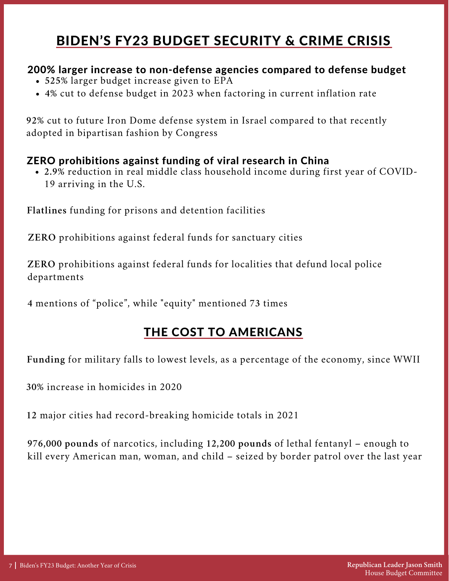# BIDEN'S FY23 BUDGET SECURITY & CRIME CRISIS

#### 200% larger increase to non-defense agencies compared to defense budget

- **525%** larger budget increase given to EPA
- **4%** cut to defense budget in 2023 when factoring in current inflation rate

**92%** cut to future Iron Dome defense system in Israel compared to that recently adopted in bipartisan fashion by Congress

#### ZERO prohibitions against funding of viral research in China

**2.9%** reduction in real middle class household income during first year of COVID-19 arriving in the U.S.

**Flatlines** funding for prisons and detention facilities

**ZERO** prohibitions against federal funds for sanctuary cities

**ZERO** prohibitions against federal funds for localities that defund local police departments

**4** mentions of "police", while "equity" mentioned **73** times

### THE COST TO AMERICANS

**Funding** for military falls to lowest levels, as a percentage of the economy, since WWII

**30%** increase in homicides in 2020

**12** major cities had record-breaking homicide totals in 2021

**976,000 pounds** of narcotics, including **12,200 pounds** of lethal fentanyl – enough to kill every American man, woman, and child – seized by border patrol over the last year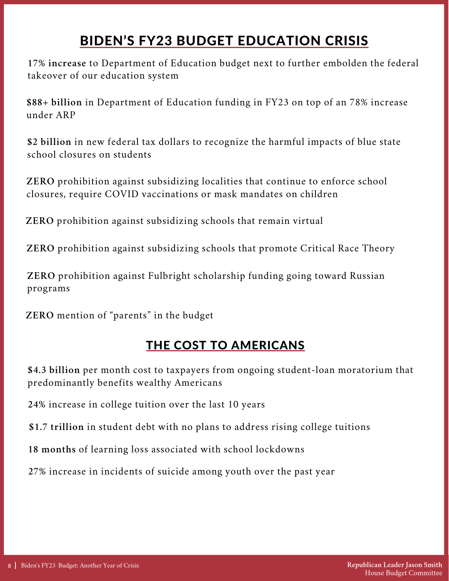# BIDEN'S FY23 BUDGET EDUCATION CRISIS

**17% increase** to Department of Education budget next to further embolden the federal takeover of our education system

**\$88+ billion** in Department of Education funding in FY23 on top of an 78% increase under ARP

**\$2 billion** in new federal tax dollars to recognize the harmful impacts of blue state school closures on students

**ZERO** prohibition against subsidizing localities that continue to enforce school closures, require COVID vaccinations or mask mandates on children

**ZERO** prohibition against subsidizing schools that remain virtual

**ZERO** prohibition against subsidizing schools that promote Critical Race Theory

**ZERO** prohibition against Fulbright scholarship funding going toward Russian programs

**ZERO** mention of "parents" in the budget

### THE COST TO AMERICANS

**\$4.3 billion** per month cost to taxpayers from ongoing student-loan moratorium that predominantly benefits wealthy Americans

**24%** increase in college tuition over the last 10 years

**\$1.7 trillion** in student debt with no plans to address rising college tuitions

**18 months** of learning loss associated with school lockdowns

**27%** increase in incidents of suicide among youth over the past year